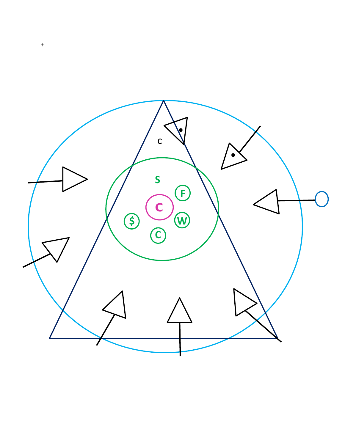

 $\pm$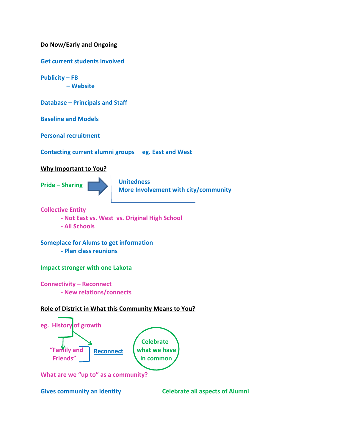# **Do Now/Early and Ongoing**

**Get current students involved**

**Publicity – FB**

 **– Website**

**Database – Principals and Staff**

**Baseline and Models**

**Personal recruitment**

**Contacting current alumni groups eg. East and West**

#### **Why Important to You?**



#### **Collective Entity**

- **‐ Not East vs. West vs. Original High School**
- **‐ All Schools**

# **Someplace for Alums to get information**

- **‐ Plan class reunions**
- **Impact stronger with one Lakota**

**Connectivity – Reconnect ‐ New relations/connects**

## **Role of District in What this Community Means to You?**



**Gives community an identity Celebrate all aspects of Alumni**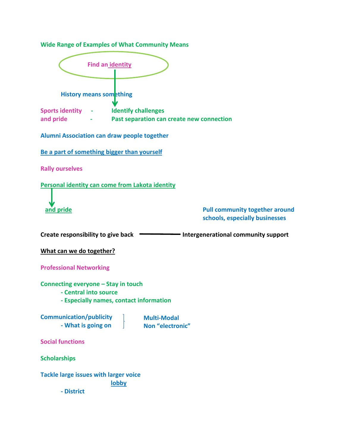